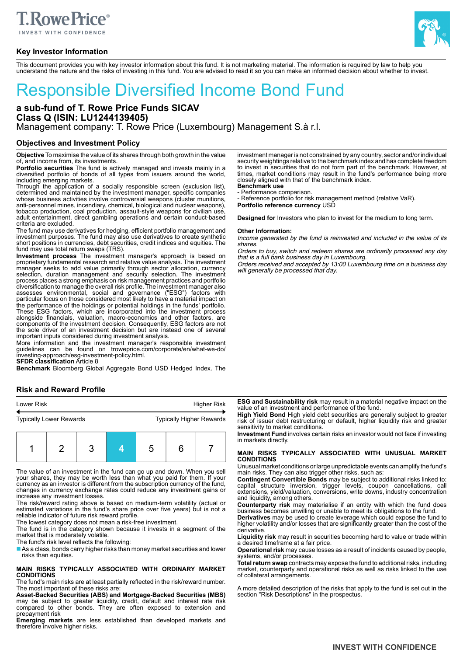

# **Key Investor Information**



This document provides you with key investor information about this fund. It is not marketing material. The information is required by law to help you understand the nature and the risks of investing in this fund. You are advised to read it so you can make an informed decision about whether to invest.

# Responsible Diversified Income Bond Fund

# **a sub-fund of T. Rowe Price Funds SICAV Class Q (ISIN: LU1244139405)**

Management company: T. Rowe Price (Luxembourg) Management S.à r.l.

## **Objectives and Investment Policy**

**Objective** To maximise the value of its shares through both growth in the value of, and income from, its investments.

**Portfolio securities** The fund is actively managed and invests mainly in a diversified portfolio of bonds of all types from issuers around the world,

including emerging markets.<br>Through the application of a socially responsible screen (exclusion list),<br>determined and maintained by the investment manager, specific companies<br>whose business activities involve controversial anti-personnel mines, incendiary, chemical, biological and nuclear weapons), tobacco production, coal production, assault-style weapons for civilian use, adult entertainment, direct gambling operations and certain conduct-based criteria are excluded.

The fund may use derivatives for hedging, efficient portfolio management and<br>investment purposes. The fund may also use derivatives to create synthetic<br>short positions in currencies, debt securities, credit indices and equ fund may use total return swaps (TRS).

**Investment process** The investment manager's approach is based on proprietary fundamental research and relative value analysis. The investment manager seeks to add value primarily through sector allocation, currency<br>selection, duration management and security selection. The investment<br>process places a strong emphasis on risk management practices and portfolio<br>div These ESG factors, which are incorporated into the investment process<br>alongside financials, valuation, macro-economics and other factors, are<br>components of the investment decision. Consequently, ESG factors are not<br>the sol important inputs considered during investment analysis.

More information and the investment manager's responsible investment guidelines can be found on troweprice.com/corporate/en/what-we-do/ investing-approach/esg-investment-policy.html. **SFDR classification** Article 8

**Benchmark** Bloomberg Global Aggregate Bond USD Hedged Index. The

# **Risk and Reward Profile**

| Lower Risk                     |  | <b>Higher Risk</b> |   |   |                                 |
|--------------------------------|--|--------------------|---|---|---------------------------------|
| <b>Typically Lower Rewards</b> |  |                    |   |   | <b>Typically Higher Rewards</b> |
|                                |  |                    | 5 | 6 |                                 |

The value of an investment in the fund can go up and down. When you sell your shares, they may be worth less than what you paid for them. If your currency as an investor is different from the subscription currency of the fund, changes in currency exchange rates could reduce any investment gains or increase any investment losses.

The risk/reward rating above is based on medium-term volatility (actual or estimated variations in the fund's share price over five years) but is not a reliable indicator of future risk reward profile.

The lowest category does not mean a risk-free investment.

The fund is in the category shown because it invests in a segment of the market that is moderately volatile.

The fund's risk level reflects the following:

■ As a class, bonds carry higher risks than money market securities and lower risks than equities.

#### **MAIN RISKS TYPICALLY ASSOCIATED WITH ORDINARY MARKET CONDITIONS**

The fund's main risks are at least partially reflected in the risk/reward number. The most important of these risks are:

**Asset-Backed Securities (ABS) and Mortgage-Backed Securities (MBS)** may be subject to greater liquidity, credit, default and interest rate risk compared to other bonds. They are often exposed to extension and prepayment risk

**Emerging markets** are less established than developed markets and therefore involve higher risks.

investment manager is not constrained by any country, sector and/or individual security weightings relative to the benchmark index and has complete freedom to invest in securities that do not form part of the benchmark. However, at times, market conditions may result in the fund's performance being more closely aligned with that of the benchmark index. **Benchmark use**

- Performance comparison.

- Reference portfolio for risk management method (relative VaR). **Portfolio reference currency** USD

**Designed for** Investors who plan to invest for the medium to long term.

#### **Other Information:**

Income generated by the fund is reinvested and included in the value of its shares.

Orders to buy, switch and redeem shares are ordinarily processed any day that is a full bank business day in Luxembourg.

Orders received and accepted by 13:00 Luxembourg time on a business day will generally be processed that day.

**ESG and Sustainability risk** may result in a material negative impact on the value of an investment and performance of the fund.

**High Yield Bond** High yield debt securities are generally subject to greater risk of issuer debt restructuring or default, higher liquidity risk and greater sensitivity to market conditions.

**Investment Fund** involves certain risks an investor would not face if investing in markets directly.

# **MAIN RISKS TYPICALLY ASSOCIATED WITH UNUSUAL MARKET CONDITIONS**

Unusual market conditions or large unpredictable events can amplify the fund's main risks. They can also trigger other risks, such as:

**Contingent Convertible Bonds** may be subject to additional risks linked to:<br>capital structure inversion, trigger levels, coupon cancellations, call<br>extensions, yield/valuation, conversions, write downs, industry concentra and liquidity, among others.

**Counterparty risk** may materialise if an entity with which the fund does business becomes unwilling or unable to meet its obligations to the fund.

**Derivatives** may be used to create leverage which could expose the fund to higher volatility and/or losses that are significantly greater than the cost of the derivative.

**Liquidity risk** may result in securities becoming hard to value or trade within a desired timeframe at a fair price.

**Operational risk** may cause losses as a result of incidents caused by people, systems, and/or processes.

**Total return swap** contracts may expose the fund to additional risks, including market, counterparty and operational risks as well as risks linked to the use of collateral arrangements.

A more detailed description of the risks that apply to the fund is set out in the section "Risk Descriptions" in the prospectus.